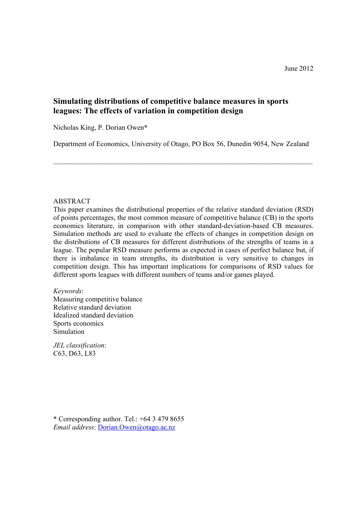## Simulating distributions of competitive balance measures in sports leagues: The effects of variation in competition design

Nicholas King, P. Dorian Owen\*

Department of Economics, University of Otago, PO Box 56, Dunedin 9054, New Zealand

\_\_\_\_\_\_\_\_\_\_\_\_\_\_\_\_\_\_\_\_\_\_\_\_\_\_\_\_\_\_\_\_\_\_\_\_\_\_\_\_\_\_\_\_\_\_\_\_\_\_\_\_\_\_\_\_\_\_\_\_\_\_\_\_\_\_\_\_\_\_\_\_\_

### ABSTRACT

This paper examines the distributional properties of the relative standard deviation (RSD) of points percentages, the most common measure of competitive balance (CB) in the sports economics literature, in comparison with other standard-deviation-based CB measures. Simulation methods are used to evaluate the effects of changes in competition design on the distributions of CB measures for different distributions of the strengths of teams in a league. The popular RSD measure performs as expected in cases of perfect balance but, if there is imbalance in team strengths, its distribution is very sensitive to changes in competition design. This has important implications for comparisons of RSD values for different sports leagues with different numbers of teams and/or games played.

Keywords:

Measuring competitive balance Relative standard deviation Idealized standard deviation Sports economics Simulation

JEL classification: C63, D63, L83

\* Corresponding author. Tel.: +64 3 479 8655 Email address: Dorian.Owen@otago.ac.nz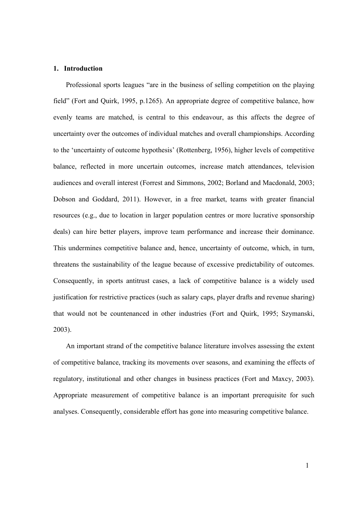#### 1. Introduction

Professional sports leagues "are in the business of selling competition on the playing field" (Fort and Quirk, 1995, p.1265). An appropriate degree of competitive balance, how evenly teams are matched, is central to this endeavour, as this affects the degree of uncertainty over the outcomes of individual matches and overall championships. According to the 'uncertainty of outcome hypothesis' (Rottenberg, 1956), higher levels of competitive balance, reflected in more uncertain outcomes, increase match attendances, television audiences and overall interest (Forrest and Simmons, 2002; Borland and Macdonald, 2003; Dobson and Goddard, 2011). However, in a free market, teams with greater financial resources (e.g., due to location in larger population centres or more lucrative sponsorship deals) can hire better players, improve team performance and increase their dominance. This undermines competitive balance and, hence, uncertainty of outcome, which, in turn, threatens the sustainability of the league because of excessive predictability of outcomes. Consequently, in sports antitrust cases, a lack of competitive balance is a widely used justification for restrictive practices (such as salary caps, player drafts and revenue sharing) that would not be countenanced in other industries (Fort and Quirk, 1995; Szymanski, 2003).

An important strand of the competitive balance literature involves assessing the extent of competitive balance, tracking its movements over seasons, and examining the effects of regulatory, institutional and other changes in business practices (Fort and Maxcy, 2003). Appropriate measurement of competitive balance is an important prerequisite for such analyses. Consequently, considerable effort has gone into measuring competitive balance.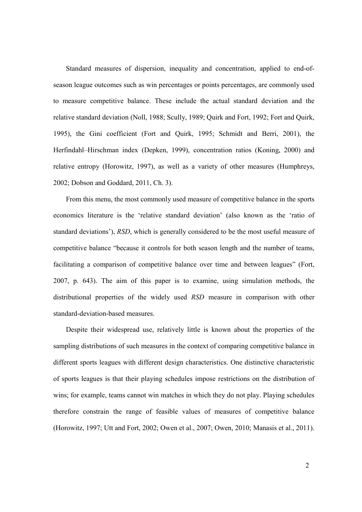Standard measures of dispersion, inequality and concentration, applied to end-ofseason league outcomes such as win percentages or points percentages, are commonly used to measure competitive balance. These include the actual standard deviation and the relative standard deviation (Noll, 1988; Scully, 1989; Quirk and Fort, 1992; Fort and Quirk, 1995), the Gini coefficient (Fort and Quirk, 1995; Schmidt and Berri, 2001), the Herfindahl–Hirschman index (Depken, 1999), concentration ratios (Koning, 2000) and relative entropy (Horowitz, 1997), as well as a variety of other measures (Humphreys, 2002; Dobson and Goddard, 2011, Ch. 3).

From this menu, the most commonly used measure of competitive balance in the sports economics literature is the 'relative standard deviation' (also known as the 'ratio of standard deviations'), RSD, which is generally considered to be the most useful measure of competitive balance "because it controls for both season length and the number of teams, facilitating a comparison of competitive balance over time and between leagues" (Fort, 2007, p. 643). The aim of this paper is to examine, using simulation methods, the distributional properties of the widely used RSD measure in comparison with other standard-deviation-based measures.

Despite their widespread use, relatively little is known about the properties of the sampling distributions of such measures in the context of comparing competitive balance in different sports leagues with different design characteristics. One distinctive characteristic of sports leagues is that their playing schedules impose restrictions on the distribution of wins; for example, teams cannot win matches in which they do not play. Playing schedules therefore constrain the range of feasible values of measures of competitive balance (Horowitz, 1997; Utt and Fort, 2002; Owen et al., 2007; Owen, 2010; Manasis et al., 2011).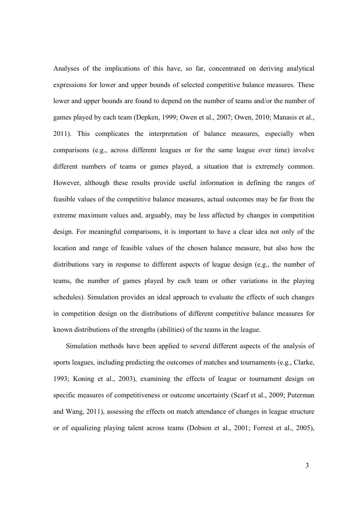Analyses of the implications of this have, so far, concentrated on deriving analytical expressions for lower and upper bounds of selected competitive balance measures. These lower and upper bounds are found to depend on the number of teams and/or the number of games played by each team (Depken, 1999; Owen et al., 2007; Owen, 2010; Manasis et al., 2011). This complicates the interpretation of balance measures, especially when comparisons (e.g., across different leagues or for the same league over time) involve different numbers of teams or games played, a situation that is extremely common. However, although these results provide useful information in defining the ranges of feasible values of the competitive balance measures, actual outcomes may be far from the extreme maximum values and, arguably, may be less affected by changes in competition design. For meaningful comparisons, it is important to have a clear idea not only of the location and range of feasible values of the chosen balance measure, but also how the distributions vary in response to different aspects of league design (e.g., the number of teams, the number of games played by each team or other variations in the playing schedules). Simulation provides an ideal approach to evaluate the effects of such changes in competition design on the distributions of different competitive balance measures for known distributions of the strengths (abilities) of the teams in the league.

Simulation methods have been applied to several different aspects of the analysis of sports leagues, including predicting the outcomes of matches and tournaments (e.g., Clarke, 1993; Koning et al., 2003), examining the effects of league or tournament design on specific measures of competitiveness or outcome uncertainty (Scarf et al., 2009; Puterman and Wang, 2011), assessing the effects on match attendance of changes in league structure or of equalizing playing talent across teams (Dobson et al., 2001; Forrest et al., 2005),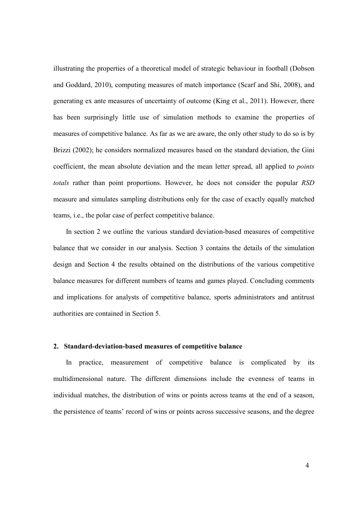illustrating the properties of a theoretical model of strategic behaviour in football (Dobson and Goddard, 2010), computing measures of match importance (Scarf and Shi, 2008), and generating ex ante measures of uncertainty of outcome (King et al., 2011). However, there has been surprisingly little use of simulation methods to examine the properties of measures of competitive balance. As far as we are aware, the only other study to do so is by Brizzi (2002); he considers normalized measures based on the standard deviation, the Gini coefficient, the mean absolute deviation and the mean letter spread, all applied to *points* totals rather than point proportions. However, he does not consider the popular RSD measure and simulates sampling distributions only for the case of exactly equally matched teams, i.e., the polar case of perfect competitive balance.

In section 2 we outline the various standard deviation-based measures of competitive balance that we consider in our analysis. Section 3 contains the details of the simulation design and Section 4 the results obtained on the distributions of the various competitive balance measures for different numbers of teams and games played. Concluding comments and implications for analysts of competitive balance, sports administrators and antitrust authorities are contained in Section 5.

#### 2. Standard-deviation-based measures of competitive balance

In practice, measurement of competitive balance is complicated by its multidimensional nature. The different dimensions include the evenness of teams in individual matches, the distribution of wins or points across teams at the end of a season, the persistence of teams' record of wins or points across successive seasons, and the degree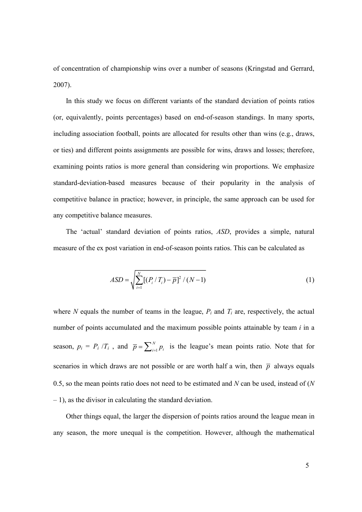of concentration of championship wins over a number of seasons (Kringstad and Gerrard, 2007).

In this study we focus on different variants of the standard deviation of points ratios (or, equivalently, points percentages) based on end-of-season standings. In many sports, including association football, points are allocated for results other than wins (e.g., draws, or ties) and different points assignments are possible for wins, draws and losses; therefore, examining points ratios is more general than considering win proportions. We emphasize standard-deviation-based measures because of their popularity in the analysis of competitive balance in practice; however, in principle, the same approach can be used for any competitive balance measures.

The 'actual' standard deviation of points ratios, ASD, provides a simple, natural measure of the ex post variation in end-of-season points ratios. This can be calculated as

$$
ASD = \sqrt{\sum_{i=1}^{N} [(P_i / T_i) - \overline{p}]^2 / (N - 1)}
$$
 (1)

where N equals the number of teams in the league,  $P_i$  and  $T_i$  are, respectively, the actual number of points accumulated and the maximum possible points attainable by team  $i$  in a season,  $p_i = P_i / T_i$ , and  $\overline{p} = \sum_{i=1}^{N}$ N  $\overline{p} = \sum_{i=1}^{N} p_i$  is the league's mean points ratio. Note that for scenarios in which draws are not possible or are worth half a win, then  $\bar{p}$  always equals 0.5, so the mean points ratio does not need to be estimated and  $N$  can be used, instead of  $(N)$  $-1$ ), as the divisor in calculating the standard deviation.

Other things equal, the larger the dispersion of points ratios around the league mean in any season, the more unequal is the competition. However, although the mathematical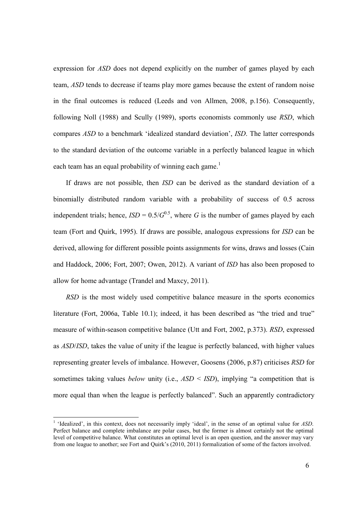expression for ASD does not depend explicitly on the number of games played by each team, ASD tends to decrease if teams play more games because the extent of random noise in the final outcomes is reduced (Leeds and von Allmen, 2008, p.156). Consequently, following Noll (1988) and Scully (1989), sports economists commonly use RSD, which compares ASD to a benchmark 'idealized standard deviation', ISD. The latter corresponds to the standard deviation of the outcome variable in a perfectly balanced league in which each team has an equal probability of winning each game.<sup>1</sup>

If draws are not possible, then ISD can be derived as the standard deviation of a binomially distributed random variable with a probability of success of 0.5 across independent trials; hence,  $ISD = 0.5/G^{0.5}$ , where G is the number of games played by each team (Fort and Quirk, 1995). If draws are possible, analogous expressions for ISD can be derived, allowing for different possible points assignments for wins, draws and losses (Cain and Haddock, 2006; Fort, 2007; Owen, 2012). A variant of ISD has also been proposed to allow for home advantage (Trandel and Maxcy, 2011).

RSD is the most widely used competitive balance measure in the sports economics literature (Fort, 2006a, Table 10.1); indeed, it has been described as "the tried and true" measure of within-season competitive balance (Utt and Fort, 2002, p.373). RSD, expressed as ASD/ISD, takes the value of unity if the league is perfectly balanced, with higher values representing greater levels of imbalance. However, Goosens (2006, p.87) criticises RSD for sometimes taking values *below* unity (i.e.,  $ASD < ISD$ ), implying "a competition that is more equal than when the league is perfectly balanced". Such an apparently contradictory

<sup>&</sup>lt;sup>1</sup> 'Idealized', in this context, does not necessarily imply 'ideal', in the sense of an optimal value for ASD. Perfect balance and complete imbalance are polar cases, but the former is almost certainly not the optimal level of competitive balance. What constitutes an optimal level is an open question, and the answer may vary from one league to another; see Fort and Quirk's (2010, 2011) formalization of some of the factors involved.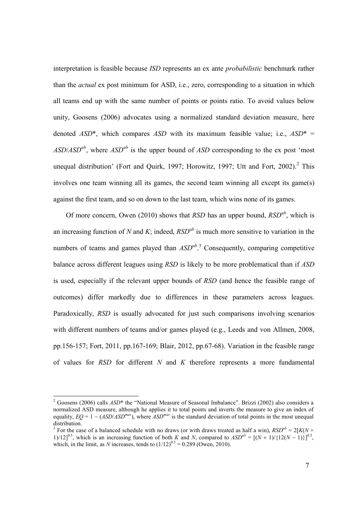interpretation is feasible because ISD represents an ex ante probabilistic benchmark rather than the actual ex post minimum for ASD, i.e., zero, corresponding to a situation in which all teams end up with the same number of points or points ratio. To avoid values below unity, Goosens (2006) advocates using a normalized standard deviation measure, here denoted  $ASD^*$ , which compares ASD with its maximum feasible value; i.e.,  $ASD^* =$  $ASD/ASD<sup>ub</sup>$ , where  $ASD<sup>ub</sup>$  is the upper bound of ASD corresponding to the ex post 'most' unequal distribution' (Fort and Quirk, 1997; Horowitz, 1997; Utt and Fort, 2002).<sup>2</sup> This involves one team winning all its games, the second team winning all except its game(s) against the first team, and so on down to the last team, which wins none of its games.

Of more concern, Owen (2010) shows that RSD has an upper bound,  $RSD<sup>ub</sup>$ , which is an increasing function of N and K; indeed,  $RSD<sup>ub</sup>$  is much more sensitive to variation in the numbers of teams and games played than  $ASD^{ub}$ <sup>3</sup>. Consequently, comparing competitive balance across different leagues using RSD is likely to be more problematical than if ASD is used, especially if the relevant upper bounds of RSD (and hence the feasible range of outcomes) differ markedly due to differences in these parameters across leagues. Paradoxically, RSD is usually advocated for just such comparisons involving scenarios with different numbers of teams and/or games played (e.g., Leeds and von Allmen, 2008, pp.156-157; Fort, 2011, pp.167-169; Blair, 2012, pp.67-68). Variation in the feasible range of values for  $RSD$  for different  $N$  and  $K$  therefore represents a more fundamental

<sup>&</sup>lt;sup>2</sup> Goosens (2006) calls *ASD*<sup>\*</sup> the "National Measure of Seasonal Imbalance". Brizzi (2002) also considers a normalized ASD measure, although he applies it to total points and inverts the measure to give an index of equality,  $EO = 1 - (ASD/ASD<sup>max</sup>)$ , where  $ASD<sup>max</sup>$  is the standard deviation of total points in the most unequal distribution.

<sup>&</sup>lt;sup>3</sup> For the case of a balanced schedule with no draws (or with draws treated as half a win),  $RSD<sup>ub</sup> = 2[K(N +$ 1)/12]<sup>0.5</sup>, which is an increasing function of both K and N, compared to  $ASD^{ub} = [(N + 1)/(12(N - 1))]^{0.5}$ , which, in the limit, as N increases, tends to  $(1/12)^{0.5} = 0.289$  (Owen, 2010).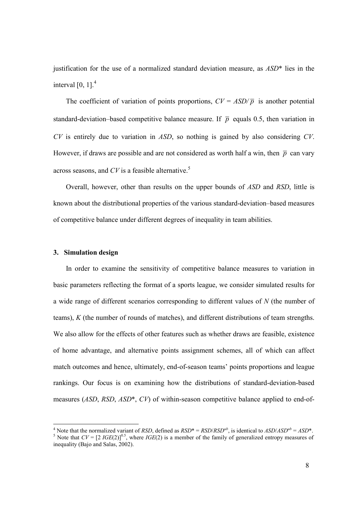justification for the use of a normalized standard deviation measure, as  $ASD^*$  lies in the interval  $[0, 1]$ .<sup>4</sup>

The coefficient of variation of points proportions,  $CV = ASD/\overline{p}$  is another potential standard-deviation–based competitive balance measure. If  $\bar{p}$  equals 0.5, then variation in  $CV$  is entirely due to variation in  $ASD$ , so nothing is gained by also considering  $CV$ . However, if draws are possible and are not considered as worth half a win, then  $\bar{p}$  can vary across seasons, and  $CV$  is a feasible alternative.<sup>5</sup>

Overall, however, other than results on the upper bounds of ASD and RSD, little is known about the distributional properties of the various standard-deviation–based measures of competitive balance under different degrees of inequality in team abilities.

#### 3. Simulation design

In order to examine the sensitivity of competitive balance measures to variation in basic parameters reflecting the format of a sports league, we consider simulated results for a wide range of different scenarios corresponding to different values of N (the number of teams), K (the number of rounds of matches), and different distributions of team strengths. We also allow for the effects of other features such as whether draws are feasible, existence of home advantage, and alternative points assignment schemes, all of which can affect match outcomes and hence, ultimately, end-of-season teams' points proportions and league rankings. Our focus is on examining how the distributions of standard-deviation-based measures (ASD, RSD, ASD\*, CV) of within-season competitive balance applied to end-of-

A Note that the normalized variant of *RSD*, defined as  $RSD^* = RSD/RSD^{ub}$ , is identical to  $ASD/ASD^{ub} = ASD^*$ . <sup>5</sup> Note that  $CV = [2 \text{ } IGE(2)]^{0.5}$ , where  $IGE(2)$  is a member of the family of generalized entropy measures of inequality (Bajo and Salas, 2002).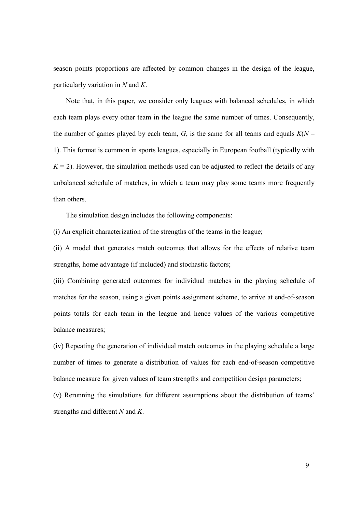season points proportions are affected by common changes in the design of the league, particularly variation in  $N$  and  $K$ .

Note that, in this paper, we consider only leagues with balanced schedules, in which each team plays every other team in the league the same number of times. Consequently, the number of games played by each team,  $G$ , is the same for all teams and equals  $K(N - )$ 1). This format is common in sports leagues, especially in European football (typically with  $K = 2$ ). However, the simulation methods used can be adjusted to reflect the details of any unbalanced schedule of matches, in which a team may play some teams more frequently than others.

The simulation design includes the following components:

(i) An explicit characterization of the strengths of the teams in the league;

(ii) A model that generates match outcomes that allows for the effects of relative team strengths, home advantage (if included) and stochastic factors;

(iii) Combining generated outcomes for individual matches in the playing schedule of matches for the season, using a given points assignment scheme, to arrive at end-of-season points totals for each team in the league and hence values of the various competitive balance measures;

(iv) Repeating the generation of individual match outcomes in the playing schedule a large number of times to generate a distribution of values for each end-of-season competitive balance measure for given values of team strengths and competition design parameters;

(v) Rerunning the simulations for different assumptions about the distribution of teams' strengths and different N and K.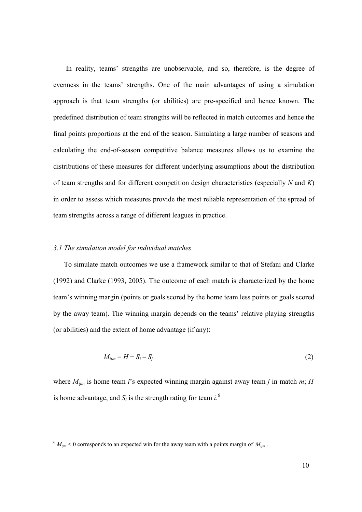In reality, teams' strengths are unobservable, and so, therefore, is the degree of evenness in the teams' strengths. One of the main advantages of using a simulation approach is that team strengths (or abilities) are pre-specified and hence known. The predefined distribution of team strengths will be reflected in match outcomes and hence the final points proportions at the end of the season. Simulating a large number of seasons and calculating the end-of-season competitive balance measures allows us to examine the distributions of these measures for different underlying assumptions about the distribution of team strengths and for different competition design characteristics (especially  $N$  and  $K$ ) in order to assess which measures provide the most reliable representation of the spread of team strengths across a range of different leagues in practice.

#### 3.1 The simulation model for individual matches

-

To simulate match outcomes we use a framework similar to that of Stefani and Clarke (1992) and Clarke (1993, 2005). The outcome of each match is characterized by the home team's winning margin (points or goals scored by the home team less points or goals scored by the away team). The winning margin depends on the teams' relative playing strengths (or abilities) and the extent of home advantage (if any):

$$
M_{ijm} = H + S_i - S_j \tag{2}
$$

where  $M_{ijm}$  is home team i's expected winning margin against away team j in match m; H is home advantage, and  $S_i$  is the strength rating for team  $i$ .<sup>6</sup>

 $6 M_{ijm}$  < 0 corresponds to an expected win for the away team with a points margin of  $|M_{ijm}|$ .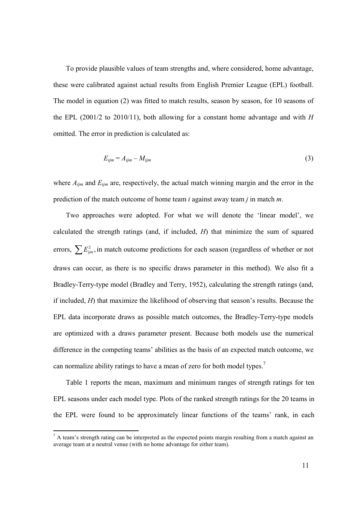To provide plausible values of team strengths and, where considered, home advantage, these were calibrated against actual results from English Premier League (EPL) football. The model in equation (2) was fitted to match results, season by season, for 10 seasons of the EPL (2001/2 to 2010/11), both allowing for a constant home advantage and with  $H$ omitted. The error in prediction is calculated as:

$$
E_{ijm} = A_{ijm} - M_{ijm} \tag{3}
$$

where  $A_{ijm}$  and  $E_{ijm}$  are, respectively, the actual match winning margin and the error in the prediction of the match outcome of home team  $i$  against away team  $j$  in match  $m$ .

Two approaches were adopted. For what we will denote the 'linear model', we calculated the strength ratings (and, if included,  $H$ ) that minimize the sum of squared errors,  $\sum E_{ijm}^2$ , in match outcome predictions for each season (regardless of whether or not draws can occur, as there is no specific draws parameter in this method). We also fit a Bradley-Terry-type model (Bradley and Terry, 1952), calculating the strength ratings (and, if included, H) that maximize the likelihood of observing that season's results. Because the EPL data incorporate draws as possible match outcomes, the Bradley-Terry-type models are optimized with a draws parameter present. Because both models use the numerical difference in the competing teams' abilities as the basis of an expected match outcome, we can normalize ability ratings to have a mean of zero for both model types.<sup>7</sup>

Table 1 reports the mean, maximum and minimum ranges of strength ratings for ten EPL seasons under each model type. Plots of the ranked strength ratings for the 20 teams in the EPL were found to be approximately linear functions of the teams' rank, in each

 $<sup>7</sup>$  A team's strength rating can be interpreted as the expected points margin resulting from a match against an</sup> average team at a neutral venue (with no home advantage for either team).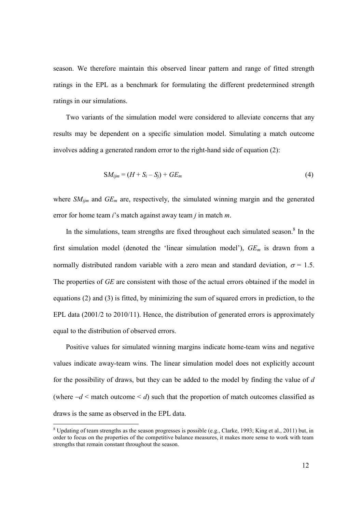season. We therefore maintain this observed linear pattern and range of fitted strength ratings in the EPL as a benchmark for formulating the different predetermined strength ratings in our simulations.

Two variants of the simulation model were considered to alleviate concerns that any results may be dependent on a specific simulation model. Simulating a match outcome involves adding a generated random error to the right-hand side of equation (2):

$$
SM_{ijm} = (H + S_i - S_j) + GE_m \tag{4}
$$

where  $SM_{ijm}$  and  $GE_m$  are, respectively, the simulated winning margin and the generated error for home team  $i$ 's match against away team  $j$  in match  $m$ .

In the simulations, team strengths are fixed throughout each simulated season.<sup>8</sup> In the first simulation model (denoted the 'linear simulation model'),  $GE_m$  is drawn from a normally distributed random variable with a zero mean and standard deviation,  $\sigma = 1.5$ . The properties of GE are consistent with those of the actual errors obtained if the model in equations (2) and (3) is fitted, by minimizing the sum of squared errors in prediction, to the EPL data (2001/2 to 2010/11). Hence, the distribution of generated errors is approximately equal to the distribution of observed errors.

Positive values for simulated winning margins indicate home-team wins and negative values indicate away-team wins. The linear simulation model does not explicitly account for the possibility of draws, but they can be added to the model by finding the value of  $d$ (where  $-d <$  match outcome  $\le d$ ) such that the proportion of match outcomes classified as draws is the same as observed in the EPL data.

 $8$  Updating of team strengths as the season progresses is possible (e.g., Clarke, 1993; King et al., 2011) but, in order to focus on the properties of the competitive balance measures, it makes more sense to work with team strengths that remain constant throughout the season.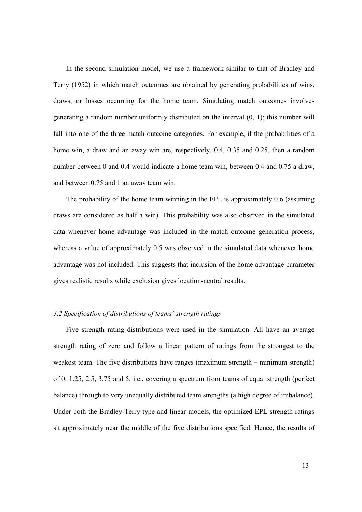In the second simulation model, we use a framework similar to that of Bradley and Terry (1952) in which match outcomes are obtained by generating probabilities of wins, draws, or losses occurring for the home team. Simulating match outcomes involves generating a random number uniformly distributed on the interval (0, 1); this number will fall into one of the three match outcome categories. For example, if the probabilities of a home win, a draw and an away win are, respectively, 0.4, 0.35 and 0.25, then a random number between 0 and 0.4 would indicate a home team win, between 0.4 and 0.75 a draw, and between 0.75 and 1 an away team win.

The probability of the home team winning in the EPL is approximately 0.6 (assuming draws are considered as half a win). This probability was also observed in the simulated data whenever home advantage was included in the match outcome generation process, whereas a value of approximately 0.5 was observed in the simulated data whenever home advantage was not included. This suggests that inclusion of the home advantage parameter gives realistic results while exclusion gives location-neutral results.

### 3.2 Specification of distributions of teams' strength ratings

Five strength rating distributions were used in the simulation. All have an average strength rating of zero and follow a linear pattern of ratings from the strongest to the weakest team. The five distributions have ranges (maximum strength – minimum strength) of 0, 1.25, 2.5, 3.75 and 5, i.e., covering a spectrum from teams of equal strength (perfect balance) through to very unequally distributed team strengths (a high degree of imbalance). Under both the Bradley-Terry-type and linear models, the optimized EPL strength ratings sit approximately near the middle of the five distributions specified. Hence, the results of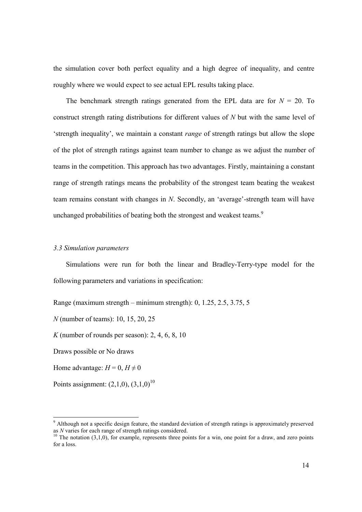the simulation cover both perfect equality and a high degree of inequality, and centre roughly where we would expect to see actual EPL results taking place.

The benchmark strength ratings generated from the EPL data are for  $N = 20$ . To construct strength rating distributions for different values of N but with the same level of 'strength inequality', we maintain a constant range of strength ratings but allow the slope of the plot of strength ratings against team number to change as we adjust the number of teams in the competition. This approach has two advantages. Firstly, maintaining a constant range of strength ratings means the probability of the strongest team beating the weakest team remains constant with changes in N. Secondly, an 'average'-strength team will have unchanged probabilities of beating both the strongest and weakest teams.<sup>9</sup>

#### 3.3 Simulation parameters

Simulations were run for both the linear and Bradley-Terry-type model for the following parameters and variations in specification:

Range (maximum strength – minimum strength): 0, 1.25, 2.5, 3.75, 5

N (number of teams): 10, 15, 20, 25

K (number of rounds per season):  $2, 4, 6, 8, 10$ 

Draws possible or No draws

Home advantage:  $H = 0$ ,  $H \neq 0$ 

-

Points assignment:  $(2,1,0)$ ,  $(3,1,0)^{10}$ 

<sup>&</sup>lt;sup>9</sup> Although not a specific design feature, the standard deviation of strength ratings is approximately preserved as N varies for each range of strength ratings considered.

 $10$  The notation (3,1,0), for example, represents three points for a win, one point for a draw, and zero points for a loss.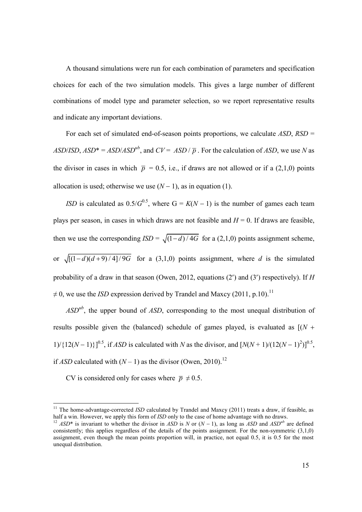A thousand simulations were run for each combination of parameters and specification choices for each of the two simulation models. This gives a large number of different combinations of model type and parameter selection, so we report representative results and indicate any important deviations.

For each set of simulated end-of-season points proportions, we calculate  $ASD$ ,  $RSD =$ ASD/ISD,  $ASD^* = ASD/ASD^{ub}$ , and  $CV = ASD / \bar{p}$ . For the calculation of ASD, we use N as the divisor in cases in which  $\bar{p} = 0.5$ , i.e., if draws are not allowed or if a (2,1,0) points allocation is used; otherwise we use  $(N-1)$ , as in equation (1).

ISD is calculated as  $0.5/G^{0.5}$ , where G =  $K(N-1)$  is the number of games each team plays per season, in cases in which draws are not feasible and  $H = 0$ . If draws are feasible, then we use the corresponding  $ISD = \sqrt{\frac{(1 - d)}{4G}}$  for a (2,1,0) points assignment scheme, or  $\sqrt{\left[\frac{(1-d)(d+9)}{4}\right]$  / 9G for a (3,1,0) points assignment, where d is the simulated probability of a draw in that season (Owen, 2012, equations (2') and (3') respectively). If H  $\neq$  0, we use the *ISD* expression derived by Trandel and Maxcy (2011, p.10).<sup>11</sup>

 $ASD<sup>ub</sup>$ , the upper bound of ASD, corresponding to the most unequal distribution of results possible given the (balanced) schedule of games played, is evaluated as  $[(N +$ 1)/{12(N – 1)}]<sup>0.5</sup>, if *ASD* is calculated with N as the divisor, and  $[N(N+1)/(12(N-1)^2)]^{0.5}$ , if ASD calculated with  $(N - 1)$  as the divisor (Owen, 2010).<sup>12</sup>

CV is considered only for cases where  $\bar{p} \neq 0.5$ .

<sup>&</sup>lt;sup>11</sup> The home-advantage-corrected ISD calculated by Trandel and Maxcy (2011) treats a draw, if feasible, as half a win. However, we apply this form of *ISD* only to the case of home advantage with no draws.

<sup>&</sup>lt;sup>12</sup> ASD<sup>\*</sup> is invariant to whether the divisor in ASD is N or (N − 1), as long as ASD and ASD<sup>ub</sup> are defined consistently; this applies regardless of the details of the points assignment. For the non-symmetric (3,1,0) assignment, even though the mean points proportion will, in practice, not equal 0.5, it is 0.5 for the most unequal distribution.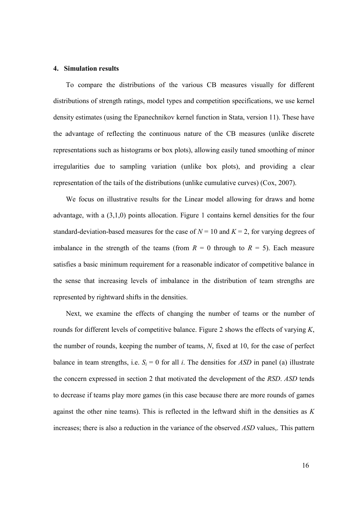#### 4. Simulation results

To compare the distributions of the various CB measures visually for different distributions of strength ratings, model types and competition specifications, we use kernel density estimates (using the Epanechnikov kernel function in Stata, version 11). These have the advantage of reflecting the continuous nature of the CB measures (unlike discrete representations such as histograms or box plots), allowing easily tuned smoothing of minor irregularities due to sampling variation (unlike box plots), and providing a clear representation of the tails of the distributions (unlike cumulative curves) (Cox, 2007).

We focus on illustrative results for the Linear model allowing for draws and home advantage, with a (3,1,0) points allocation. Figure 1 contains kernel densities for the four standard-deviation-based measures for the case of  $N = 10$  and  $K = 2$ , for varying degrees of imbalance in the strength of the teams (from  $R = 0$  through to  $R = 5$ ). Each measure satisfies a basic minimum requirement for a reasonable indicator of competitive balance in the sense that increasing levels of imbalance in the distribution of team strengths are represented by rightward shifts in the densities.

Next, we examine the effects of changing the number of teams or the number of rounds for different levels of competitive balance. Figure 2 shows the effects of varying  $K$ , the number of rounds, keeping the number of teams, N, fixed at 10, for the case of perfect balance in team strengths, i.e.  $S_i = 0$  for all i. The densities for ASD in panel (a) illustrate the concern expressed in section 2 that motivated the development of the RSD. ASD tends to decrease if teams play more games (in this case because there are more rounds of games against the other nine teams). This is reflected in the leftward shift in the densities as  $K$ increases; there is also a reduction in the variance of the observed ASD values,. This pattern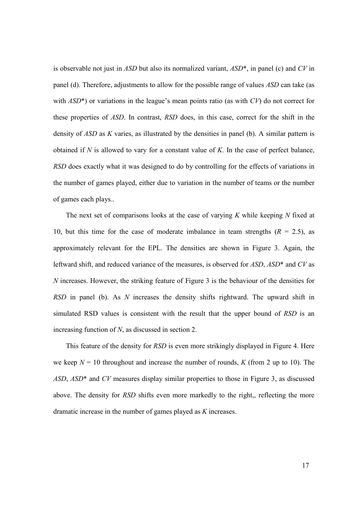is observable not just in ASD but also its normalized variant,  $ASD^*$ , in panel (c) and CV in panel (d). Therefore, adjustments to allow for the possible range of values ASD can take (as with  $ASD^*$ ) or variations in the league's mean points ratio (as with  $CV$ ) do not correct for these properties of ASD. In contrast, RSD does, in this case, correct for the shift in the density of ASD as K varies, as illustrated by the densities in panel (b). A similar pattern is obtained if  $N$  is allowed to vary for a constant value of  $K$ . In the case of perfect balance, RSD does exactly what it was designed to do by controlling for the effects of variations in the number of games played, either due to variation in the number of teams or the number of games each plays..

The next set of comparisons looks at the case of varying  $K$  while keeping  $N$  fixed at 10, but this time for the case of moderate imbalance in team strengths  $(R = 2.5)$ , as approximately relevant for the EPL. The densities are shown in Figure 3. Again, the leftward shift, and reduced variance of the measures, is observed for ASD, ASD<sup>\*</sup> and CV as N increases. However, the striking feature of Figure 3 is the behaviour of the densities for RSD in panel (b). As N increases the density shifts rightward. The upward shift in simulated RSD values is consistent with the result that the upper bound of RSD is an increasing function of N, as discussed in section 2.

This feature of the density for RSD is even more strikingly displayed in Figure 4. Here we keep  $N = 10$  throughout and increase the number of rounds, K (from 2 up to 10). The ASD, ASD\* and CV measures display similar properties to those in Figure 3, as discussed above. The density for RSD shifts even more markedly to the right,, reflecting the more dramatic increase in the number of games played as K increases.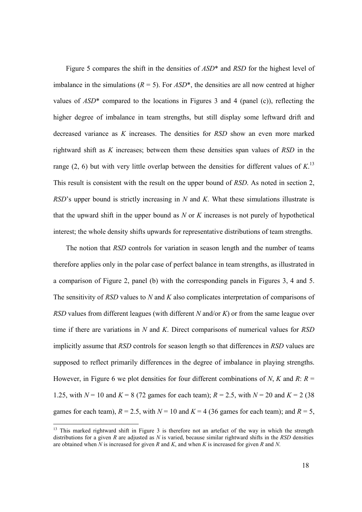Figure 5 compares the shift in the densities of ASD\* and RSD for the highest level of imbalance in the simulations ( $R = 5$ ). For  $ASD^*$ , the densities are all now centred at higher values of  $ASD^*$  compared to the locations in Figures 3 and 4 (panel (c)), reflecting the higher degree of imbalance in team strengths, but still display some leftward drift and decreased variance as K increases. The densities for RSD show an even more marked rightward shift as  $K$  increases; between them these densities span values of  $RSD$  in the range (2, 6) but with very little overlap between the densities for different values of  $K$ <sup>13</sup> This result is consistent with the result on the upper bound of RSD. As noted in section 2,  $RSD$ 's upper bound is strictly increasing in N and K. What these simulations illustrate is that the upward shift in the upper bound as  $N$  or  $K$  increases is not purely of hypothetical interest; the whole density shifts upwards for representative distributions of team strengths.

The notion that RSD controls for variation in season length and the number of teams therefore applies only in the polar case of perfect balance in team strengths, as illustrated in a comparison of Figure 2, panel (b) with the corresponding panels in Figures 3, 4 and 5. The sensitivity of RSD values to N and K also complicates interpretation of comparisons of RSD values from different leagues (with different N and/or K) or from the same league over time if there are variations in N and K. Direct comparisons of numerical values for  $RSD$ implicitly assume that RSD controls for season length so that differences in RSD values are supposed to reflect primarily differences in the degree of imbalance in playing strengths. However, in Figure 6 we plot densities for four different combinations of N, K and R:  $R =$ 1.25, with  $N = 10$  and  $K = 8$  (72 games for each team);  $R = 2.5$ , with  $N = 20$  and  $K = 2$  (38 games for each team),  $R = 2.5$ , with  $N = 10$  and  $K = 4$  (36 games for each team); and  $R = 5$ ,

<sup>&</sup>lt;sup>13</sup> This marked rightward shift in Figure 3 is therefore not an artefact of the way in which the strength distributions for a given  $R$  are adjusted as  $N$  is varied, because similar rightward shifts in the  $RSD$  densities are obtained when  $N$  is increased for given  $R$  and  $K$ , and when  $K$  is increased for given  $R$  and  $N$ .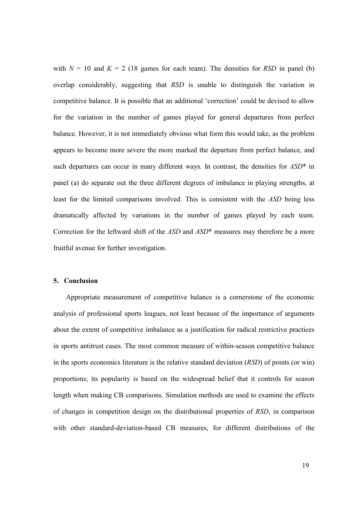with  $N = 10$  and  $K = 2$  (18 games for each team). The densities for RSD in panel (b) overlap considerably, suggesting that RSD is unable to distinguish the variation in competitive balance. It is possible that an additional 'correction' could be devised to allow for the variation in the number of games played for general departures from perfect balance. However, it is not immediately obvious what form this would take, as the problem appears to become more severe the more marked the departure from perfect balance, and such departures can occur in many different ways. In contrast, the densities for  $ASD^*$  in panel (a) do separate out the three different degrees of imbalance in playing strengths, at least for the limited comparisons involved. This is consistent with the ASD being less dramatically affected by variations in the number of games played by each team. Correction for the leftward shift of the ASD and ASD<sup>\*</sup> measures may therefore be a more fruitful avenue for further investigation.

#### 5. Conclusion

Appropriate measurement of competitive balance is a cornerstone of the economic analysis of professional sports leagues, not least because of the importance of arguments about the extent of competitive imbalance as a justification for radical restrictive practices in sports antitrust cases. The most common measure of within-season competitive balance in the sports economics literature is the relative standard deviation (RSD) of points (or win) proportions; its popularity is based on the widespread belief that it controls for season length when making CB comparisons. Simulation methods are used to examine the effects of changes in competition design on the distributional properties of RSD, in comparison with other standard-deviation-based CB measures, for different distributions of the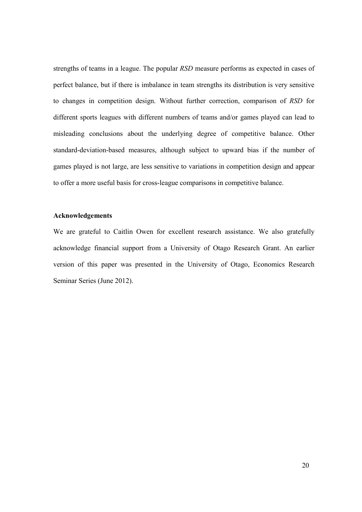strengths of teams in a league. The popular RSD measure performs as expected in cases of perfect balance, but if there is imbalance in team strengths its distribution is very sensitive to changes in competition design. Without further correction, comparison of RSD for different sports leagues with different numbers of teams and/or games played can lead to misleading conclusions about the underlying degree of competitive balance. Other standard-deviation-based measures, although subject to upward bias if the number of games played is not large, are less sensitive to variations in competition design and appear to offer a more useful basis for cross-league comparisons in competitive balance.

### Acknowledgements

We are grateful to Caitlin Owen for excellent research assistance. We also gratefully acknowledge financial support from a University of Otago Research Grant. An earlier version of this paper was presented in the University of Otago, Economics Research Seminar Series (June 2012).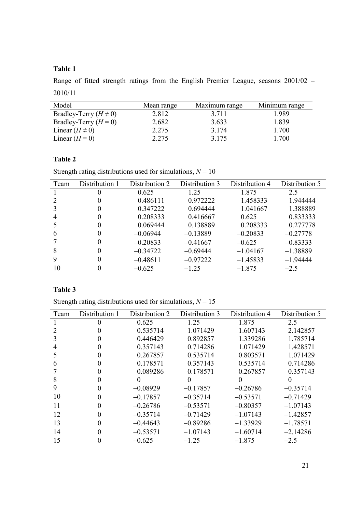## Table 1

Range of fitted strength ratings from the English Premier League, seasons 2001/02 – 2010/11

| Model                      | Mean range | Maximum range | Minimum range |
|----------------------------|------------|---------------|---------------|
| Bradley-Terry $(H \neq 0)$ | 2.812      | 3 7 1 1       | 1.989         |
| Bradley-Terry $(H=0)$      | 2.682      | 3.633         | 1.839         |
| Linear $(H \neq 0)$        | 2.275      | 3 1 7 4       | 1.700         |
| Linear $(H=0)$             | 2.275      | 3 1 7 5       | 1.700         |

## Table 2

Strength rating distributions used for simulations,  $N = 10$ 

| Team | Distribution 1 | Distribution 2 | Distribution 3 | Distribution 4 | Distribution 5 |
|------|----------------|----------------|----------------|----------------|----------------|
|      |                | 0.625          | 1.25           | 1.875          | 2.5            |
|      |                | 0.486111       | 0.972222       | 1.458333       | 1.944444       |
|      |                | 0.347222       | 0.694444       | 1.041667       | 1.388889       |
|      |                | 0.208333       | 0.416667       | 0.625          | 0.833333       |
|      |                | 0.069444       | 0.138889       | 0.208333       | 0.277778       |
| 6    |                | $-0.06944$     | $-0.13889$     | $-0.20833$     | $-0.27778$     |
|      |                | $-0.20833$     | $-0.41667$     | $-0.625$       | $-0.83333$     |
| 8    |                | $-0.34722$     | $-0.69444$     | $-1.04167$     | $-1.38889$     |
| 9    |                | $-0.48611$     | $-0.97222$     | $-1.45833$     | $-1.94444$     |
| 10   |                | $-0.625$       | $-1.25$        | $-1.875$       | $-2.5$         |

## Table 3

Strength rating distributions used for simulations,  $N = 15$ 

| Team | Distribution 1 | Distribution 2 | Distribution 3 | Distribution 4 | Distribution 5 |
|------|----------------|----------------|----------------|----------------|----------------|
|      |                | 0.625          | 1.25           | 1.875          | 2.5            |
|      |                | 0.535714       | 1.071429       | 1.607143       | 2.142857       |
|      |                | 0.446429       | 0.892857       | 1.339286       | 1.785714       |
| 4    |                | 0.357143       | 0.714286       | 1.071429       | 1.428571       |
|      |                | 0.267857       | 0.535714       | 0.803571       | 1.071429       |
| 6    |                | 0.178571       | 0.357143       | 0.535714       | 0.714286       |
|      |                | 0.089286       | 0.178571       | 0.267857       | 0.357143       |
| 8    |                | $\theta$       | $\theta$       |                | $\mathbf{0}$   |
| 9    |                | $-0.08929$     | $-0.17857$     | $-0.26786$     | $-0.35714$     |
| 10   |                | $-0.17857$     | $-0.35714$     | $-0.53571$     | $-0.71429$     |
| 11   |                | $-0.26786$     | $-0.53571$     | $-0.80357$     | $-1.07143$     |
| 12   |                | $-0.35714$     | $-0.71429$     | $-1.07143$     | $-1.42857$     |
| 13   |                | $-0.44643$     | $-0.89286$     | $-1.33929$     | $-1.78571$     |
| 14   |                | $-0.53571$     | $-1.07143$     | $-1.60714$     | $-2.14286$     |
| 15   |                | $-0.625$       | $-1.25$        | $-1.875$       | $-2.5$         |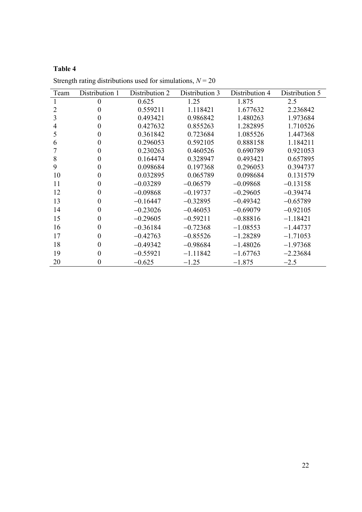# Table 4

| Team           | Distribution 1 | Distribution 2 | Distribution 3 | Distribution 4 | Distribution 5 |
|----------------|----------------|----------------|----------------|----------------|----------------|
|                | $\overline{0}$ | 0.625          | 1.25           | 1.875          | 2.5            |
| $\overline{2}$ | 0              | 0.559211       | 1.118421       | 1.677632       | 2.236842       |
| 3              | 0              | 0.493421       | 0.986842       | 1.480263       | 1.973684       |
| 4              | 0              | 0.427632       | 0.855263       | 1.282895       | 1.710526       |
| 5              | $\theta$       | 0.361842       | 0.723684       | 1.085526       | 1.447368       |
| 6              | 0              | 0.296053       | 0.592105       | 0.888158       | 1.184211       |
| 7              | 0              | 0.230263       | 0.460526       | 0.690789       | 0.921053       |
| 8              | 0              | 0.164474       | 0.328947       | 0.493421       | 0.657895       |
| 9              | 0              | 0.098684       | 0.197368       | 0.296053       | 0.394737       |
| 10             | 0              | 0.032895       | 0.065789       | 0.098684       | 0.131579       |
| 11             | $\theta$       | $-0.03289$     | $-0.06579$     | $-0.09868$     | $-0.13158$     |
| 12             | 0              | $-0.09868$     | $-0.19737$     | $-0.29605$     | $-0.39474$     |
| 13             | 0              | $-0.16447$     | $-0.32895$     | $-0.49342$     | $-0.65789$     |
| 14             | 0              | $-0.23026$     | $-0.46053$     | $-0.69079$     | $-0.92105$     |
| 15             | $\theta$       | $-0.29605$     | $-0.59211$     | $-0.88816$     | $-1.18421$     |
| 16             | $\theta$       | $-0.36184$     | $-0.72368$     | $-1.08553$     | $-1.44737$     |
| 17             | $\theta$       | $-0.42763$     | $-0.85526$     | $-1.28289$     | $-1.71053$     |
| 18             | 0              | $-0.49342$     | $-0.98684$     | $-1.48026$     | $-1.97368$     |
| 19             | 0              | $-0.55921$     | $-1.11842$     | $-1.67763$     | $-2.23684$     |
| 20             | 0              | $-0.625$       | $-1.25$        | $-1.875$       | $-2.5$         |

Strength rating distributions used for simulations,  $N = 20$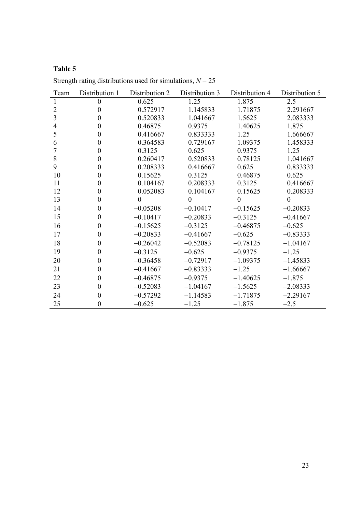# Table 5

| Team           | Distribution 1   | Distribution 2   | Distribution 3 | Distribution 4 | Distribution 5 |
|----------------|------------------|------------------|----------------|----------------|----------------|
| $\mathbf{1}$   | $\boldsymbol{0}$ | 0.625            | 1.25           | 1.875          | 2.5            |
| $\overline{2}$ | $\boldsymbol{0}$ | 0.572917         | 1.145833       | 1.71875        | 2.291667       |
| 3              | $\theta$         | 0.520833         | 1.041667       | 1.5625         | 2.083333       |
| 4              | 0                | 0.46875          | 0.9375         | 1.40625        | 1.875          |
| 5              | $\theta$         | 0.416667         | 0.833333       | 1.25           | 1.666667       |
| 6              | $\overline{0}$   | 0.364583         | 0.729167       | 1.09375        | 1.458333       |
| 7              | 0                | 0.3125           | 0.625          | 0.9375         | 1.25           |
| 8              | $\boldsymbol{0}$ | 0.260417         | 0.520833       | 0.78125        | 1.041667       |
| 9              | 0                | 0.208333         | 0.416667       | 0.625          | 0.833333       |
| 10             | $\theta$         | 0.15625          | 0.3125         | 0.46875        | 0.625          |
| 11             | 0                | 0.104167         | 0.208333       | 0.3125         | 0.416667       |
| 12             | 0                | 0.052083         | 0.104167       | 0.15625        | 0.208333       |
| 13             | $\theta$         | $\boldsymbol{0}$ | $\theta$       | $\mathbf{0}$   | $\theta$       |
| 14             | $\boldsymbol{0}$ | $-0.05208$       | $-0.10417$     | $-0.15625$     | $-0.20833$     |
| 15             | $\overline{0}$   | $-0.10417$       | $-0.20833$     | $-0.3125$      | $-0.41667$     |
| 16             | $\theta$         | $-0.15625$       | $-0.3125$      | $-0.46875$     | $-0.625$       |
| 17             | $\theta$         | $-0.20833$       | $-0.41667$     | $-0.625$       | $-0.83333$     |
| 18             | $\theta$         | $-0.26042$       | $-0.52083$     | $-0.78125$     | $-1.04167$     |
| 19             | $\boldsymbol{0}$ | $-0.3125$        | $-0.625$       | $-0.9375$      | $-1.25$        |
| 20             | $\theta$         | $-0.36458$       | $-0.72917$     | $-1.09375$     | $-1.45833$     |
| 21             | $\theta$         | $-0.41667$       | $-0.83333$     | $-1.25$        | $-1.66667$     |
| 22             | $\theta$         | $-0.46875$       | $-0.9375$      | $-1.40625$     | $-1.875$       |
| 23             | 0                | $-0.52083$       | $-1.04167$     | $-1.5625$      | $-2.08333$     |
| 24             | $\theta$         | $-0.57292$       | $-1.14583$     | $-1.71875$     | $-2.29167$     |
| 25             | $\boldsymbol{0}$ | $-0.625$         | $-1.25$        | $-1.875$       | $-2.5$         |

Strength rating distributions used for simulations,  $N = 25$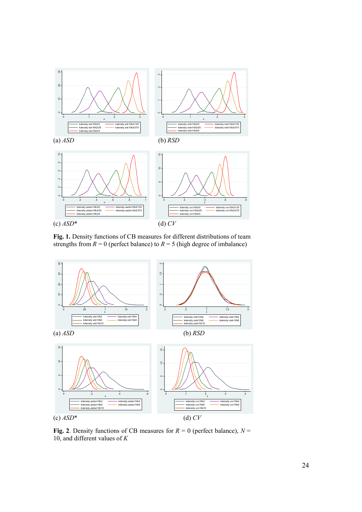

Fig. 1. Density functions of CB measures for different distributions of team strengths from  $R = 0$  (perfect balance) to  $R = 5$  (high degree of imbalance)



Fig. 2. Density functions of CB measures for  $R = 0$  (perfect balance),  $N =$ 10, and different values of  $K$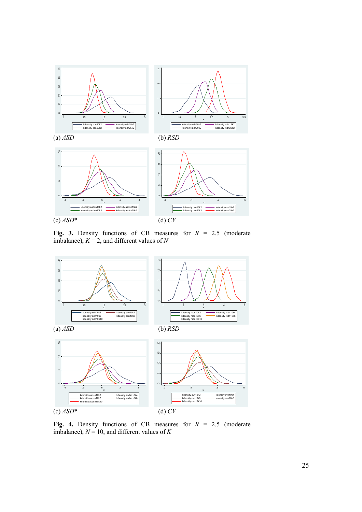

Fig. 3. Density functions of CB measures for  $R = 2.5$  (moderate imbalance),  $K = 2$ , and different values of N



Fig. 4. Density functions of CB measures for  $R = 2.5$  (moderate imbalance),  $N = 10$ , and different values of K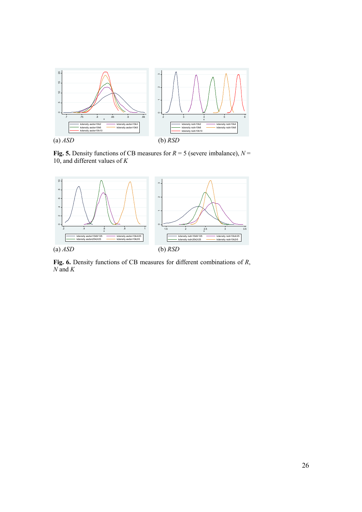

Fig. 5. Density functions of CB measures for  $R = 5$  (severe imbalance),  $N =$ 10, and different values of  $K$ 



Fig. 6. Density functions of CB measures for different combinations of R,  $N$  and  $K$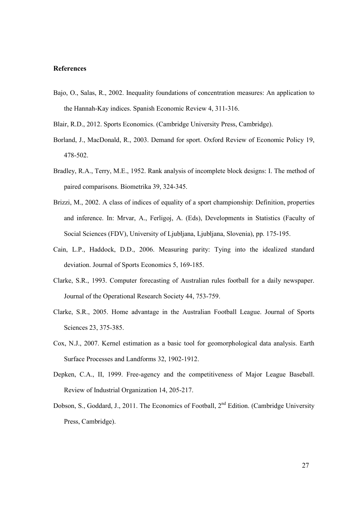#### References

Bajo, O., Salas, R., 2002. Inequality foundations of concentration measures: An application to the Hannah-Kay indices. Spanish Economic Review 4, 311-316.

Blair, R.D., 2012. Sports Economics. (Cambridge University Press, Cambridge).

- Borland, J., MacDonald, R., 2003. Demand for sport. Oxford Review of Economic Policy 19, 478-502.
- Bradley, R.A., Terry, M.E., 1952. Rank analysis of incomplete block designs: I. The method of paired comparisons. Biometrika 39, 324-345.
- Brizzi, M., 2002. A class of indices of equality of a sport championship: Definition, properties and inference. In: Mrvar, A., Ferligoj, A. (Eds), Developments in Statistics (Faculty of Social Sciences (FDV), University of Ljubljana, Ljubljana, Slovenia), pp. 175-195.
- Cain, L.P., Haddock, D.D., 2006. Measuring parity: Tying into the idealized standard deviation. Journal of Sports Economics 5, 169-185.
- Clarke, S.R., 1993. Computer forecasting of Australian rules football for a daily newspaper. Journal of the Operational Research Society 44, 753-759.
- Clarke, S.R., 2005. Home advantage in the Australian Football League. Journal of Sports Sciences 23, 375-385.
- Cox, N.J., 2007. Kernel estimation as a basic tool for geomorphological data analysis. Earth Surface Processes and Landforms 32, 1902-1912.
- Depken, C.A., II, 1999. Free-agency and the competitiveness of Major League Baseball. Review of Industrial Organization 14, 205-217.
- Dobson, S., Goddard, J., 2011. The Economics of Football, 2<sup>nd</sup> Edition. (Cambridge University Press, Cambridge).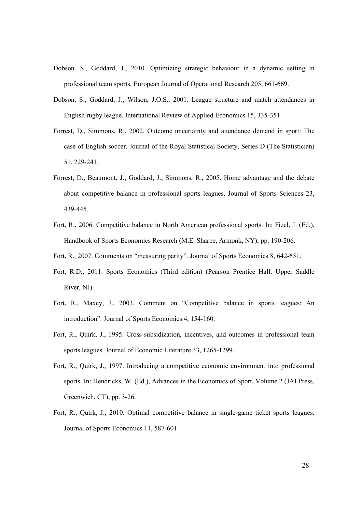- Dobson. S., Goddard, J., 2010. Optimizing strategic behaviour in a dynamic setting in professional team sports. European Journal of Operational Research 205, 661-669.
- Dobson, S., Goddard, J., Wilson, J.O.S., 2001. League structure and match attendances in English rugby league. International Review of Applied Economics 15, 335-351.
- Forrest, D., Simmons, R., 2002. Outcome uncertainty and attendance demand in sport: The case of English soccer. Journal of the Royal Statistical Society, Series D (The Statistician) 51, 229-241.
- Forrest, D., Beaumont, J., Goddard, J., Simmons, R., 2005. Home advantage and the debate about competitive balance in professional sports leagues. Journal of Sports Sciences 23, 439-445.
- Fort, R., 2006. Competitive balance in North American professional sports. In: Fizel, J. (Ed.), Handbook of Sports Economics Research (M.E. Sharpe, Armonk, NY), pp. 190-206.
- Fort, R., 2007. Comments on "measuring parity". Journal of Sports Economics 8, 642-651.
- Fort, R.D., 2011. Sports Economics (Third edition) (Pearson Prentice Hall: Upper Saddle River, NJ).
- Fort, R., Maxcy, J., 2003. Comment on "Competitive balance in sports leagues: An introduction". Journal of Sports Economics 4, 154-160.
- Fort, R., Quirk, J., 1995. Cross-subsidization, incentives, and outcomes in professional team sports leagues. Journal of Economic Literature 33, 1265-1299.
- Fort, R., Quirk, J., 1997. Introducing a competitive economic environment into professional sports. In: Hendricks, W. (Ed.), Advances in the Economics of Sport, Volume 2 (JAI Press, Greenwich, CT), pp. 3-26.
- Fort, R., Quirk, J., 2010. Optimal competitive balance in single-game ticket sports leagues. Journal of Sports Economics 11, 587-601.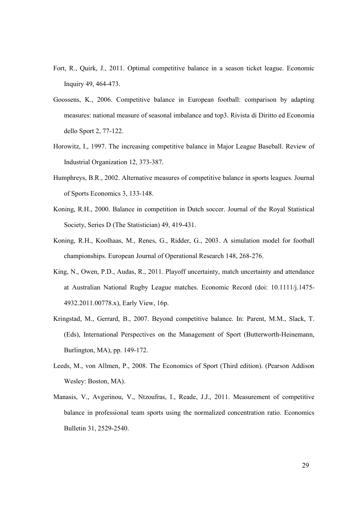- Fort, R., Quirk, J., 2011. Optimal competitive balance in a season ticket league. Economic Inquiry 49, 464-473.
- Goossens, K., 2006. Competitive balance in European football: comparison by adapting measures: national measure of seasonal imbalance and top3. Rivista di Diritto ed Economia dello Sport 2, 77-122.
- Horowitz, I., 1997. The increasing competitive balance in Major League Baseball. Review of Industrial Organization 12, 373-387.
- Humphreys, B.R., 2002. Alternative measures of competitive balance in sports leagues. Journal of Sports Economics 3, 133-148.
- Koning, R.H., 2000. Balance in competition in Dutch soccer. Journal of the Royal Statistical Society, Series D (The Statistician) 49, 419-431.
- Koning, R.H., Koolhaas, M., Renes, G., Ridder, G., 2003. A simulation model for football championships. European Journal of Operational Research 148, 268-276.
- King, N., Owen, P.D., Audas, R., 2011. Playoff uncertainty, match uncertainty and attendance at Australian National Rugby League matches. Economic Record (doi: 10.1111/j.1475- 4932.2011.00778.x), Early View, 16p.
- Kringstad, M., Gerrard, B., 2007. Beyond competitive balance. In: Parent, M.M., Slack, T. (Eds), International Perspectives on the Management of Sport (Butterworth-Heinemann, Burlington, MA), pp. 149-172.
- Leeds, M., von Allmen, P., 2008. The Economics of Sport (Third edition). (Pearson Addison Wesley: Boston, MA).
- Manasis, V., Avgerinou, V., Ntzoufras, I., Reade, J.J., 2011. Measurement of competitive balance in professional team sports using the normalized concentration ratio. Economics Bulletin 31, 2529-2540.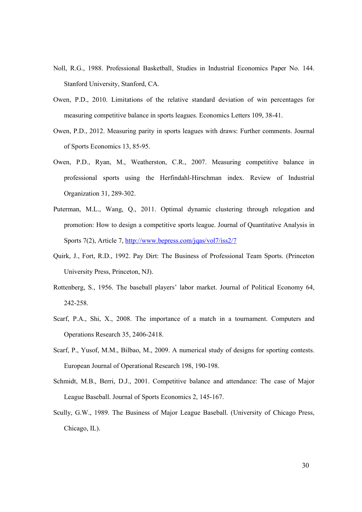- Noll, R.G., 1988. Professional Basketball, Studies in Industrial Economics Paper No. 144. Stanford University, Stanford, CA.
- Owen, P.D., 2010. Limitations of the relative standard deviation of win percentages for measuring competitive balance in sports leagues. Economics Letters 109, 38-41.
- Owen, P.D., 2012. Measuring parity in sports leagues with draws: Further comments. Journal of Sports Economics 13, 85-95.
- Owen, P.D., Ryan, M., Weatherston, C.R., 2007. Measuring competitive balance in professional sports using the Herfindahl-Hirschman index. Review of Industrial Organization 31, 289-302.
- Puterman, M.L., Wang, Q., 2011. Optimal dynamic clustering through relegation and promotion: How to design a competitive sports league. Journal of Quantitative Analysis in Sports 7(2), Article 7, http://www.bepress.com/jqas/vol7/iss2/7
- Quirk, J., Fort, R.D., 1992. Pay Dirt: The Business of Professional Team Sports. (Princeton University Press, Princeton, NJ).
- Rottenberg, S., 1956. The baseball players' labor market. Journal of Political Economy 64, 242-258.
- Scarf, P.A., Shi, X., 2008. The importance of a match in a tournament. Computers and Operations Research 35, 2406-2418.
- Scarf, P., Yusof, M.M., Bilbao, M., 2009. A numerical study of designs for sporting contests. European Journal of Operational Research 198, 190-198.
- Schmidt, M.B., Berri, D.J., 2001. Competitive balance and attendance: The case of Major League Baseball. Journal of Sports Economics 2, 145-167.
- Scully, G.W., 1989. The Business of Major League Baseball. (University of Chicago Press, Chicago, IL).